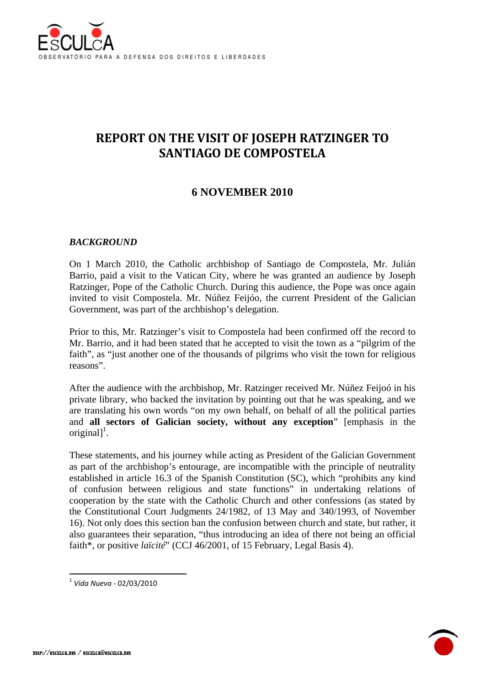

# **REPORT ON THE VISIT OF JOSEPH RATZINGER TO SANTIAGO DE COMPOSTELA**

# **6 NOVEMBER 2010**

#### *BACKGROUND*

On 1 March 2010, the Catholic archbishop of Santiago de Compostela, Mr. Julián Barrio, paid a visit to the Vatican City, where he was granted an audience by Joseph Ratzinger, Pope of the Catholic Church. During this audience, the Pope was once again invited to visit Compostela. Mr. Núñez Feijóo, the current President of the Galician Government, was part of the archbishop's delegation.

Prior to this, Mr. Ratzinger's visit to Compostela had been confirmed off the record to Mr. Barrio, and it had been stated that he accepted to visit the town as a "pilgrim of the faith", as "just another one of the thousands of pilgrims who visit the town for religious reasons".

After the audience with the archbishop, Mr. Ratzinger received Mr. Núñez Feijoó in his private library, who backed the invitation by pointing out that he was speaking, and we are translating his own words "on my own behalf, on behalf of all the political parties and **all sectors of Galician society, without any exception**" [emphasis in the original]<sup>1</sup>.

These statements, and his journey while acting as President of the Galician Government as part of the archbishop's entourage, are incompatible with the principle of neutrality established in article 16.3 of the Spanish Constitution (SC), which "prohibits any kind of confusion between religious and state functions" in undertaking relations of cooperation by the state with the Catholic Church and other confessions (as stated by the Constitutional Court Judgments 24/1982, of 13 May and 340/1993, of November 16). Not only does this section ban the confusion between church and state, but rather, it also guarantees their separation, "thus introducing an idea of there not being an official faith\*, or positive *laïcité*" (CCJ 46/2001, of 15 February, Legal Basis 4).

1

<sup>1</sup> *Vida Nueva* ‐ 02/03/2010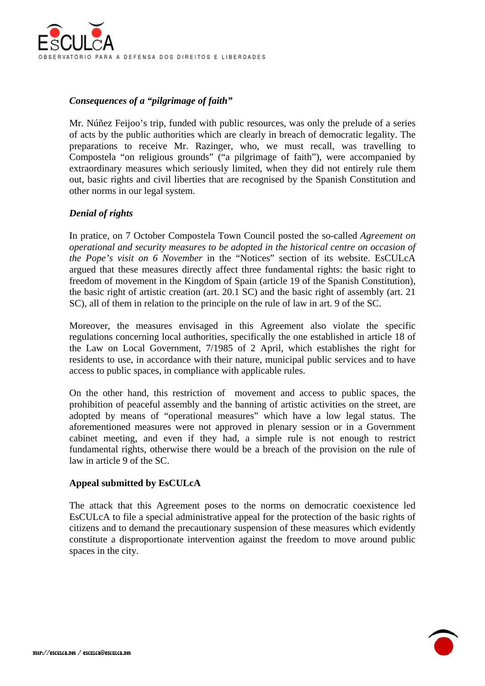

## *Consequences of a "pilgrimage of faith"*

Mr. Núñez Feijoo's trip, funded with public resources, was only the prelude of a series of acts by the public authorities which are clearly in breach of democratic legality. The preparations to receive Mr. Razinger, who, we must recall, was travelling to Compostela "on religious grounds" ("a pilgrimage of faith"), were accompanied by extraordinary measures which seriously limited, when they did not entirely rule them out, basic rights and civil liberties that are recognised by the Spanish Constitution and other norms in our legal system.

### *Denial of rights*

In pratice, on 7 October Compostela Town Council posted the so-called *Agreement on operational and security measures to be adopted in the historical centre on occasion of the Pope's visit on 6 November* in the "Notices" section of its website. EsCULcA argued that these measures directly affect three fundamental rights: the basic right to freedom of movement in the Kingdom of Spain (article 19 of the Spanish Constitution), the basic right of artistic creation (art. 20.1 SC) and the basic right of assembly (art. 21 SC), all of them in relation to the principle on the rule of law in art. 9 of the SC.

Moreover, the measures envisaged in this Agreement also violate the specific regulations concerning local authorities, specifically the one established in article 18 of the Law on Local Government, 7/1985 of 2 April, which establishes the right for residents to use, in accordance with their nature, municipal public services and to have access to public spaces, in compliance with applicable rules.

On the other hand, this restriction of movement and access to public spaces, the prohibition of peaceful assembly and the banning of artistic activities on the street, are adopted by means of "operational measures" which have a low legal status. The aforementioned measures were not approved in plenary session or in a Government cabinet meeting, and even if they had, a simple rule is not enough to restrict fundamental rights, otherwise there would be a breach of the provision on the rule of law in article 9 of the SC.

#### **Appeal submitted by EsCULcA**

The attack that this Agreement poses to the norms on democratic coexistence led EsCULcA to file a special administrative appeal for the protection of the basic rights of citizens and to demand the precautionary suspension of these measures which evidently constitute a disproportionate intervention against the freedom to move around public spaces in the city.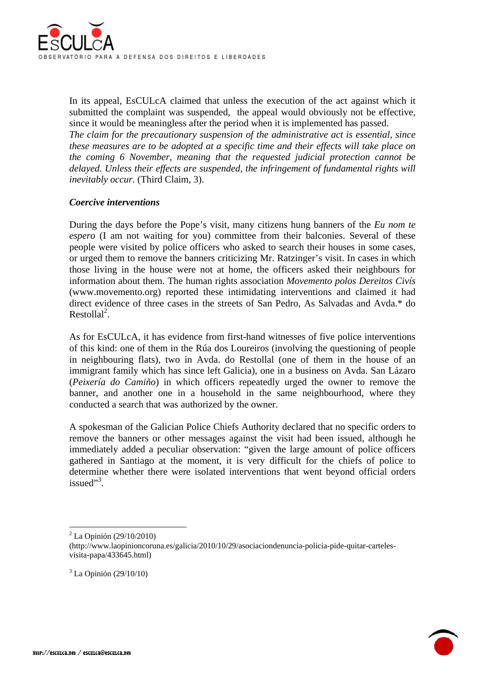

In its appeal, EsCULcA claimed that unless the execution of the act against which it submitted the complaint was suspended, the appeal would obviously not be effective, since it would be meaningless after the period when it is implemented has passed.

*The claim for the precautionary suspension of the administrative act is essential, since these measures are to be adopted at a specific time and their effects will take place on the coming 6 November, meaning that the requested judicial protection cannot be delayed. Unless their effects are suspended, the infringement of fundamental rights will inevitably occur.* (Third Claim, 3).

#### *Coercive interventions*

During the days before the Pope's visit, many citizens hung banners of the *Eu nom te espero* (I am not waiting for you) committee from their balconies. Several of these people were visited by police officers who asked to search their houses in some cases, or urged them to remove the banners criticizing Mr. Ratzinger's visit. In cases in which those living in the house were not at home, the officers asked their neighbours for information about them. The human rights association *Movemento polos Dereitos Civís* (www.movemento.org) reported these intimidating interventions and claimed it had direct evidence of three cases in the streets of San Pedro, As Salvadas and Avda.\* do Restollal<sup>2</sup>.

As for EsCULcA, it has evidence from first-hand witnesses of five police interventions of this kind: one of them in the Rúa dos Loureiros (involving the questioning of people in neighbouring flats), two in Avda. do Restollal (one of them in the house of an immigrant family which has since left Galicia), one in a business on Avda. San Lázaro (*Peixería do Camiño*) in which officers repeatedly urged the owner to remove the banner, and another one in a household in the same neighbourhood, where they conducted a search that was authorized by the owner.

A spokesman of the Galician Police Chiefs Authority declared that no specific orders to remove the banners or other messages against the visit had been issued, although he immediately added a peculiar observation: "given the large amount of police officers gathered in Santiago at the moment, it is very difficult for the chiefs of police to determine whether there were isolated interventions that went beyond official orders issued"<sup>3</sup>.

 $3$  La Opinión (29/10/10)



1

<sup>2</sup> La Opinión (29/10/2010)

<sup>(</sup>http://www.laopinioncoruna.es/galicia/2010/10/29/asociaciondenuncia-policia-pide-quitar-cartelesvisita-papa/433645.html)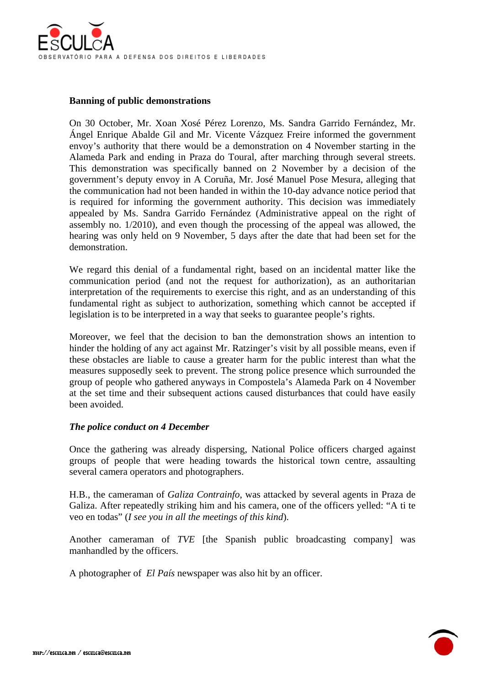

#### **Banning of public demonstrations**

On 30 October, Mr. Xoan Xosé Pérez Lorenzo, Ms. Sandra Garrido Fernández, Mr. Ángel Enrique Abalde Gil and Mr. Vicente Vázquez Freire informed the government envoy's authority that there would be a demonstration on 4 November starting in the Alameda Park and ending in Praza do Toural, after marching through several streets. This demonstration was specifically banned on 2 November by a decision of the government's deputy envoy in A Coruña, Mr. José Manuel Pose Mesura, alleging that the communication had not been handed in within the 10-day advance notice period that is required for informing the government authority. This decision was immediately appealed by Ms. Sandra Garrido Fernández (Administrative appeal on the right of assembly no. 1/2010), and even though the processing of the appeal was allowed, the hearing was only held on 9 November, 5 days after the date that had been set for the demonstration.

We regard this denial of a fundamental right, based on an incidental matter like the communication period (and not the request for authorization), as an authoritarian interpretation of the requirements to exercise this right, and as an understanding of this fundamental right as subject to authorization, something which cannot be accepted if legislation is to be interpreted in a way that seeks to guarantee people's rights.

Moreover, we feel that the decision to ban the demonstration shows an intention to hinder the holding of any act against Mr. Ratzinger's visit by all possible means, even if these obstacles are liable to cause a greater harm for the public interest than what the measures supposedly seek to prevent. The strong police presence which surrounded the group of people who gathered anyways in Compostela's Alameda Park on 4 November at the set time and their subsequent actions caused disturbances that could have easily been avoided.

#### *The police conduct on 4 December*

Once the gathering was already dispersing, National Police officers charged against groups of people that were heading towards the historical town centre, assaulting several camera operators and photographers.

H.B., the cameraman of *Galiza Contrainfo*, was attacked by several agents in Praza de Galiza. After repeatedly striking him and his camera, one of the officers yelled: "A ti te veo en todas" (*I see you in all the meetings of this kind*).

Another cameraman of *TVE* [the Spanish public broadcasting company] was manhandled by the officers.

A photographer of *El País* newspaper was also hit by an officer.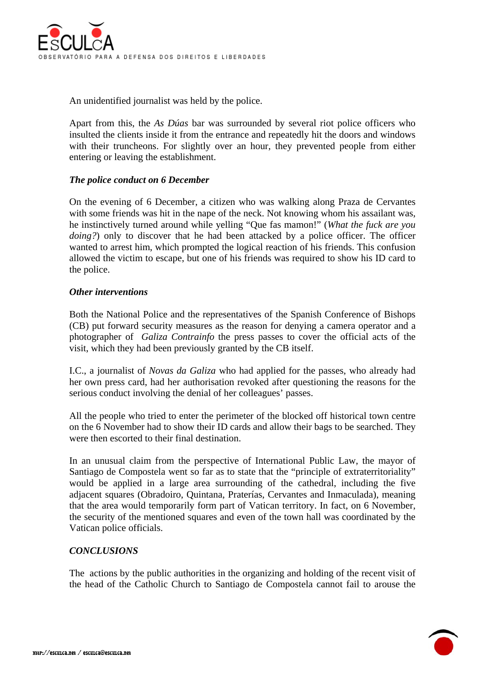

An unidentified journalist was held by the police.

Apart from this, the *As Dúas* bar was surrounded by several riot police officers who insulted the clients inside it from the entrance and repeatedly hit the doors and windows with their truncheons. For slightly over an hour, they prevented people from either entering or leaving the establishment.

#### *The police conduct on 6 December*

On the evening of 6 December, a citizen who was walking along Praza de Cervantes with some friends was hit in the nape of the neck. Not knowing whom his assailant was, he instinctively turned around while yelling "Que fas mamon!" (*What the fuck are you doing?*) only to discover that he had been attacked by a police officer. The officer wanted to arrest him, which prompted the logical reaction of his friends. This confusion allowed the victim to escape, but one of his friends was required to show his ID card to the police.

#### *Other interventions*

Both the National Police and the representatives of the Spanish Conference of Bishops (CB) put forward security measures as the reason for denying a camera operator and a photographer of *Galiza Contrainfo* the press passes to cover the official acts of the visit, which they had been previously granted by the CB itself.

I.C., a journalist of *Novas da Galiza* who had applied for the passes, who already had her own press card, had her authorisation revoked after questioning the reasons for the serious conduct involving the denial of her colleagues' passes.

All the people who tried to enter the perimeter of the blocked off historical town centre on the 6 November had to show their ID cards and allow their bags to be searched. They were then escorted to their final destination.

In an unusual claim from the perspective of International Public Law, the mayor of Santiago de Compostela went so far as to state that the "principle of extraterritoriality" would be applied in a large area surrounding of the cathedral, including the five adjacent squares (Obradoiro, Quintana, Praterías, Cervantes and Inmaculada), meaning that the area would temporarily form part of Vatican territory. In fact, on 6 November, the security of the mentioned squares and even of the town hall was coordinated by the Vatican police officials.

#### *CONCLUSIONS*

The actions by the public authorities in the organizing and holding of the recent visit of the head of the Catholic Church to Santiago de Compostela cannot fail to arouse the